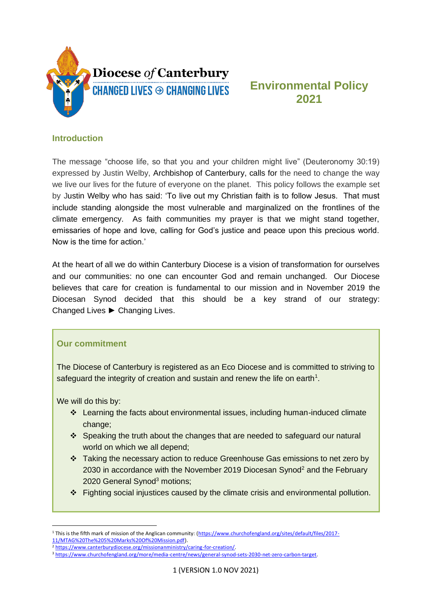

# **Environmental Policy 2021**

#### **Introduction**

The message "choose life, so that you and your children might live" (Deuteronomy 30:19) expressed by Justin Welby, Archbishop of Canterbury, calls for the need to change the way we live our lives for the future of everyone on the planet. This policy follows the example set by Justin Welby who has said: 'To live out my Christian faith is to follow Jesus. That must include standing alongside the most vulnerable and marginalized on the frontlines of the climate emergency. As faith communities my prayer is that we might stand together, emissaries of hope and love, calling for God's justice and peace upon this precious world. Now is the time for action.'

At the heart of all we do within Canterbury Diocese is a vision of transformation for ourselves and our communities: no one can encounter God and remain unchanged. Our Diocese believes that care for creation is fundamental to our mission and in November 2019 the Diocesan Synod decided that this should be a key strand of our strategy: Changed Lives ► Changing Lives.

#### **Our commitment**

The Diocese of Canterbury is registered as an Eco Diocese and is committed to striving to safeguard the integrity of creation and sustain and renew the life on earth<sup>1</sup>.

We will do this by:

- ❖ Learning the facts about environmental issues, including human-induced climate change;
- ❖ Speaking the truth about the changes that are needed to safeguard our natural world on which we all depend;
- ❖ Taking the necessary action to reduce Greenhouse Gas emissions to net zero by 2030 in accordance with the November 2019 Diocesan Synod<sup>2</sup> and the February 2020 General Synod<sup>3</sup> motions:
- ❖ Fighting social injustices caused by the climate crisis and environmental pollution.

<sup>1</sup> This is the fifth mark of mission of the Anglican community: [\(https://www.churchofengland.org/sites/default/files/2017-](https://www.churchofengland.org/sites/default/files/2017-11/MTAG%20The%205%20Marks%20Of%20Mission.pdf) [11/MTAG%20The%205%20Marks%20Of%20Mission.pdf\)](https://www.churchofengland.org/sites/default/files/2017-11/MTAG%20The%205%20Marks%20Of%20Mission.pdf).

<sup>2</sup> [https://www.canterburydiocese.org/missionanministry/caring-for-creation/.](https://www.canterburydiocese.org/missionanministry/caring-for-creation/)

<sup>3</sup> [https://www.churchofengland.org/more/media-centre/news/general-synod-sets-2030-net-zero-carbon-target.](https://www.churchofengland.org/more/media-centre/news/general-synod-sets-2030-net-zero-carbon-target)